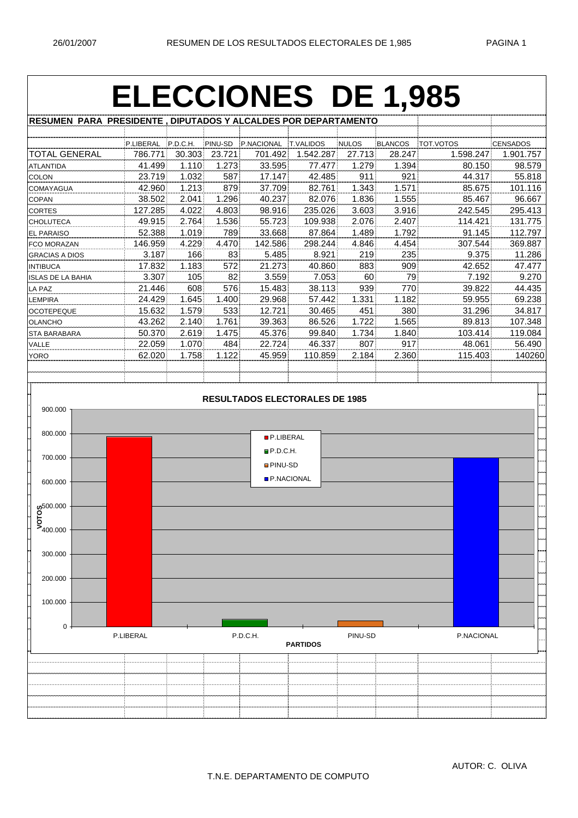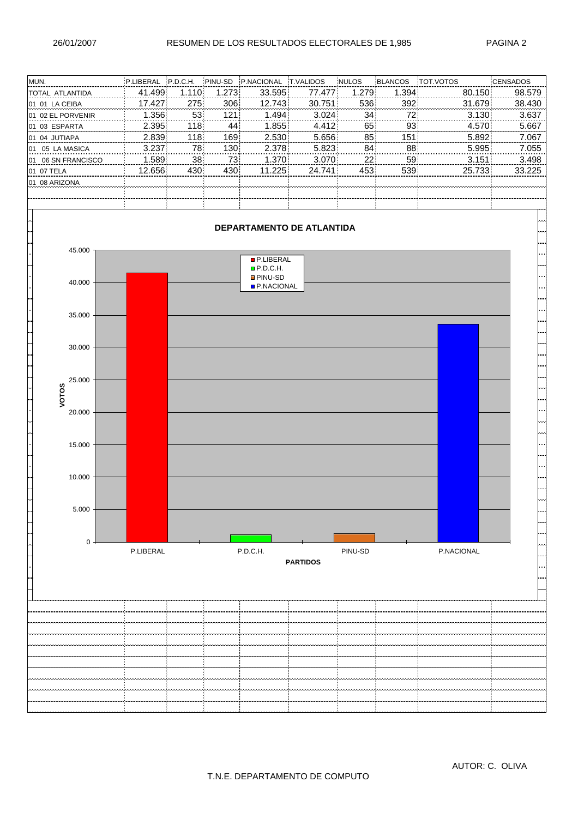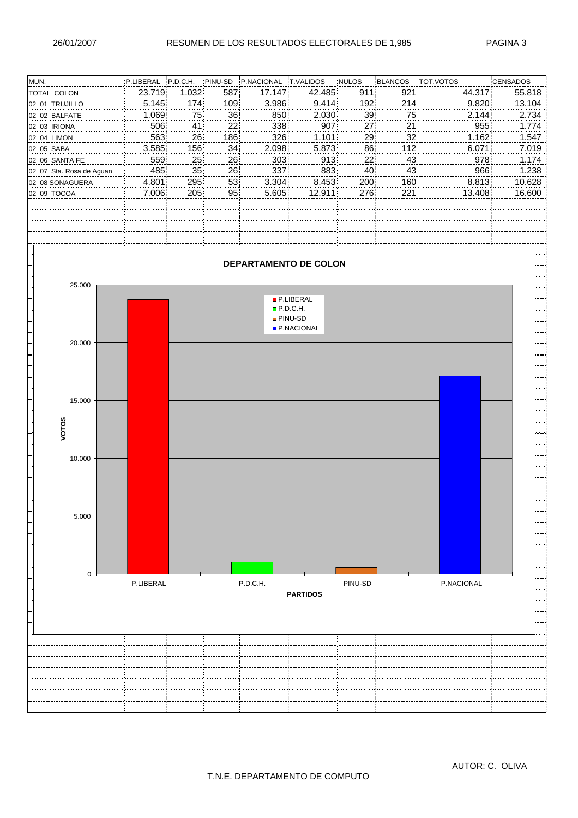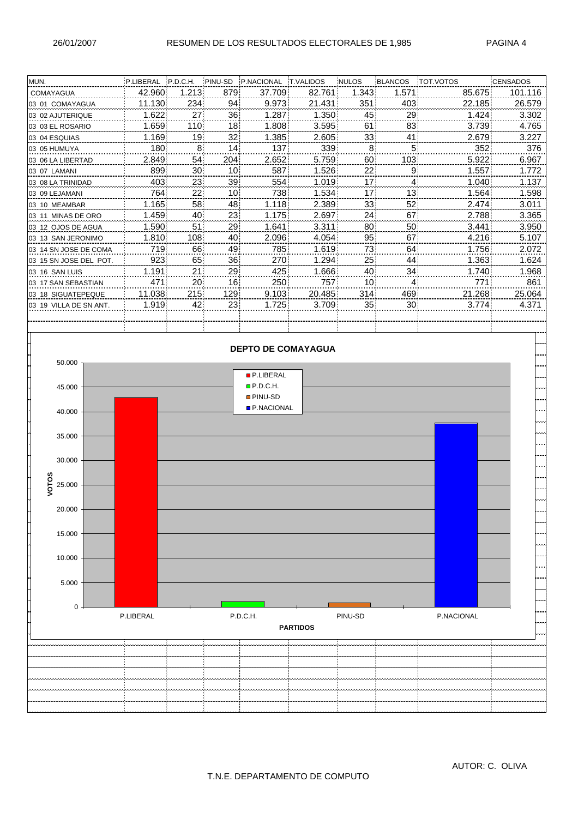|                                                                                                  | CENSADOS |
|--------------------------------------------------------------------------------------------------|----------|
| 42.960<br>1.213<br>85.675<br>879<br>37.709<br>82.761<br>1.343<br>1.571<br>COMAYAGUA              | 101.116  |
| 11.130<br>9.973<br>22.185<br>234<br>94<br>21.431<br>351<br>403<br>03 01 COMAYAGUA                | 26.579   |
| 1.622<br>27<br>36<br>1.287<br>1.350<br>45<br>29<br>1.424<br>03 02 AJUTERIQUE                     | 3.302    |
| 1.659<br>110<br>18<br>1.808<br>3.595<br>83<br>3.739<br>61<br>03 03 EL ROSARIO                    | 4.765    |
| 32<br>33<br>41<br>1.169<br>19<br>1.385<br>2.605<br>2.679<br>03 04 ESQUIAS                        | 3.227    |
| 8<br>14<br>137<br>339<br>$5\overline{)}$<br>352<br>180<br>8 <sup>1</sup><br>03 05 HUMUYA         | 376      |
| 5.759<br>60<br>103<br>5.922<br>2.849<br>54<br>204<br>2.652<br>03 06 LA LIBERTAD                  | 6.967    |
| 22<br>899<br>30<br>10<br>587<br>1.526<br>9<br>1.557<br>03 07 LAMANI                              | 1.772    |
| 39<br>554<br>17<br>403<br>23<br>$\vert$<br>1.019<br>1.040<br>03 08 LA TRINIDAD                   | 1.137    |
| 17<br>764<br>22<br>10<br>738<br>1.534<br>13<br>1.564<br>03 09 LEJAMANI                           | 1.598    |
| 33<br>52<br>1.165<br>58<br>48<br>1.118<br>2.389<br>2.474<br>03 10 MEAMBAR                        | 3.011    |
| 67<br>1.459<br>23<br>2.697<br>24<br>40<br>1.175<br>2.788<br>03 11 MINAS DE ORO                   | 3.365    |
| 1.590<br>51<br>29<br>1.641<br>3.311<br>80<br>50<br>3.441<br>03 12 OJOS DE AGUA                   | 3.950    |
| 95<br>40<br>67<br>4.216<br>1.810<br>108<br>2.096<br>4.054<br>03 13 SAN JERONIMO                  | 5.107    |
| 49<br>73<br>64<br>719<br>66<br>785<br>1.619<br>1.756<br>03 14 SN JOSE DE COMA                    | 2.072    |
| 923<br>65<br>36<br>1.294<br>25<br>44<br>1.363<br>270<br>03 15 SN JOSE DEL POT.                   | 1.624    |
| 29<br>425<br>40<br>34<br>1.191<br>21<br>1.666<br>1.740<br>03 16 SAN LUIS                         | 1.968    |
| 16<br>250<br>757<br>10 <sub>1</sub><br>471<br>20 <sub>1</sub><br>4<br>771<br>03 17 SAN SEBASTIAN | 861      |
| 11.038<br>215<br>129<br>20.485<br>21.268<br>9.103<br>314<br>469<br>03 18 SIGUATEPEQUE            | 25.064   |
| 35<br>1.919<br>42<br>23<br>3.709<br>30<br>3.774<br>1.725<br>03 19 VILLA DE SN ANT.               | 4.371    |
|                                                                                                  |          |
|                                                                                                  |          |
| <b>DEPTO DE COMAYAGUA</b>                                                                        |          |
|                                                                                                  |          |
| 50.000                                                                                           |          |
| <b>P.LIBERAL</b>                                                                                 |          |
| P.D.C.H.<br>45.000<br><b>PINU-SD</b>                                                             |          |
| <b>P.NACIONAL</b>                                                                                |          |
| 40.000                                                                                           |          |
|                                                                                                  |          |
| 35.000                                                                                           |          |
|                                                                                                  |          |
| 30.000                                                                                           |          |
|                                                                                                  |          |
| VOTOS<br>25.000                                                                                  |          |
|                                                                                                  |          |
| 20.000                                                                                           |          |
|                                                                                                  |          |
| 15.000                                                                                           |          |
|                                                                                                  |          |
| 10.000                                                                                           |          |
|                                                                                                  |          |
|                                                                                                  |          |
| 5.000                                                                                            |          |
|                                                                                                  |          |
| 0<br>P.LIBERAL<br>P.D.C.H.<br>PINU-SD<br>P.NACIONAL                                              |          |
| <b>PARTIDOS</b>                                                                                  |          |
|                                                                                                  |          |
|                                                                                                  |          |
|                                                                                                  |          |
|                                                                                                  |          |
|                                                                                                  |          |
|                                                                                                  |          |
|                                                                                                  |          |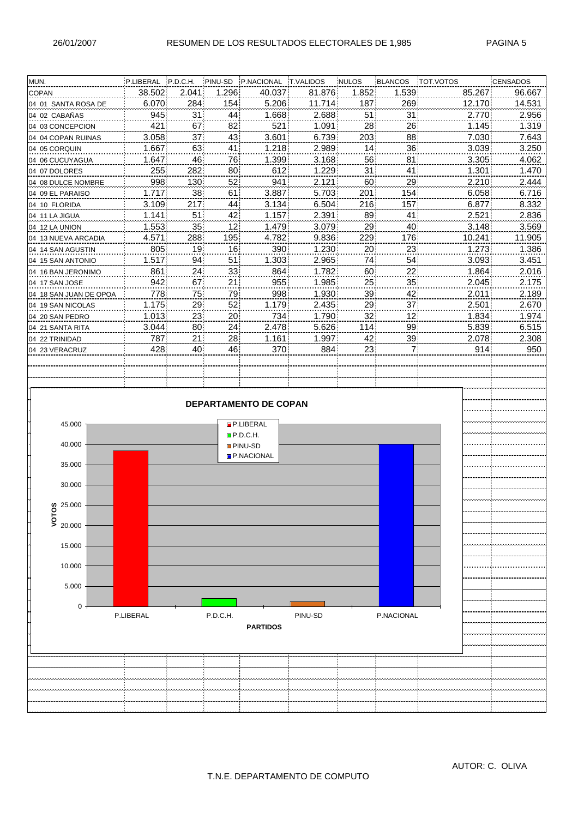| MUN.                             | P.LIBERAL P.D.C.H. |          | PINU-SD  | P.NACIONAL                   | <b>T.VALIDOS</b> | <b>NULOS</b> | BLANCOS    | TOT.VOTOS      | <b>CENSADOS</b> |
|----------------------------------|--------------------|----------|----------|------------------------------|------------------|--------------|------------|----------------|-----------------|
| <b>COPAN</b>                     | 38.502             | 2.041    | 1.296    | 40.037                       | 81.876           | 1.852        | 1.539      | 85.267         | 96.667          |
| 04 01 SANTA ROSA DE              | 6.070              | 284      | 154      | 5.206                        | 11.714           | 187          | 269        | 12.170         | 14.531          |
| 04 02 CABAÑAS                    | 945                | 31       | 44       | 1.668                        | 2.688            | 51           | 31         | 2.770          | 2.956           |
| 04 03 CONCEPCION                 | 421                | 67       | 82       | 521                          | 1.091            | 28           | 26         | 1.145          | 1.319           |
| 04 04 COPAN RUINAS               | 3.058              | 37       | 43       | 3.601                        | 6.739            | 203          | 88         | 7.030          | 7.643           |
| 04 05 CORQUIN                    | 1.667              | 63       | 41       | 1.218                        | 2.989            | 14           | 36         | 3.039          | 3.250           |
| 04 06 CUCUYAGUA                  | 1.647              | 46       | 76       | 1.399                        | 3.168            | 56           | 81         | 3.305          | 4.062           |
| 04 07 DOLORES                    | 255                | 282      | 80       | 612                          | 1.229            | 31           | 41         | 1.301          | 1.470           |
| 04 08 DULCE NOMBRE               | 998                | 130      | 52       | 941                          | 2.121            | 60           | 29         | 2.210          | 2.444           |
| 04 09 EL PARAISO                 | 1.717              | 38       | 61       | 3.887                        | 5.703            | 201          | 154        | 6.058          | 6.716           |
| 04 10 FLORIDA                    | 3.109              | 217      | 44       | 3.134                        | 6.504            | 216          | 157        | 6.877          | 8.332           |
| 04 11 LA JIGUA                   | 1.141              | 51       | 42       | 1.157                        | 2.391            | 89           | 41         | 2.521          | 2.836           |
| 04 12 LA UNION                   | 1.553              | 35       | 12       | 1.479                        | 3.079            | 29           | 40         | 3.148          | 3.569           |
| 04 13 NUEVA ARCADIA              | 4.571              | 288      | 195      | 4.782                        | 9.836            | 229          | 176        | 10.241         | 11.905          |
| 04 14 SAN AGUSTIN                | 805                | 19       | 16       | 390                          | 1.230            | 20           | 23         | 1.273          | 1.386           |
| 04 15 SAN ANTONIO                | 1.517              | 94       | 51       | 1.303                        | 2.965            | 74           | 54         | 3.093          | 3.451           |
| 04 16 BAN JERONIMO               | 861                | 24       | 33       | 864                          | 1.782            | 60           | 22         | 1.864          | 2.016           |
| 04 17 SAN JOSE                   | 942                | 67       | 21       | 955                          | 1.985            | 25           | 35         | 2.045          | 2.175           |
| 04 18 SAN JUAN DE OPOA           | 778                | 75       | 79       | 998                          | 1.930            | 39           | 42         | 2.011          | 2.189           |
| 04 19 SAN NICOLAS                | 1.175              | 29       | 52       | 1.179                        | 2.435            | 29           | 37         | 2.501          | 2.670           |
| 04 20 SAN PEDRO                  | 1.013<br>3.044     | 23       | 20       | 734                          | 1.790            | 32           | 12         | 1.834          | 1.974           |
| 04 21 SANTA RITA                 | 787                | 80<br>21 | 24<br>28 | 2.478<br>1.161               | 5.626<br>1.997   | 114<br>42    | 99         | 5.839<br>2.078 | 6.515           |
| 04 22 TRINIDAD<br>04 23 VERACRUZ | 428                | 40       | 46       | 370                          | 884              | 23           | 39<br>7    | 914            | 2.308<br>950    |
|                                  |                    |          |          |                              |                  |              |            |                |                 |
|                                  |                    |          |          |                              |                  |              |            |                |                 |
|                                  |                    |          |          |                              |                  |              |            |                |                 |
|                                  |                    |          |          |                              |                  |              |            |                |                 |
|                                  |                    |          |          | <b>DEPARTAMENTO DE COPAN</b> |                  |              |            |                |                 |
|                                  |                    |          |          |                              |                  |              |            |                |                 |
| 45.000                           |                    |          |          | <b>P.LIBERAL</b>             |                  |              |            |                |                 |
|                                  |                    |          |          | $D$ P.D.C.H.                 |                  |              |            |                |                 |
| 40.000                           |                    |          |          | <b>PINU-SD</b>               |                  |              |            |                |                 |
| 35.000                           |                    |          |          | P.NACIONAL                   |                  |              |            |                |                 |
|                                  |                    |          |          |                              |                  |              |            |                |                 |
| 30.000                           |                    |          |          |                              |                  |              |            |                |                 |
|                                  |                    |          |          |                              |                  |              |            |                |                 |
| Q25.000                          |                    |          |          |                              |                  |              |            |                |                 |
| VOTO<br>20.000                   |                    |          |          |                              |                  |              |            |                |                 |
|                                  |                    |          |          |                              |                  |              |            |                |                 |
| 15.000                           |                    |          |          |                              |                  |              |            |                |                 |
|                                  |                    |          |          |                              |                  |              |            |                |                 |
| 10.000                           |                    |          |          |                              |                  |              |            |                |                 |
|                                  |                    |          |          |                              |                  |              |            |                |                 |
| 5.000                            |                    |          |          |                              |                  |              |            |                |                 |
| $\mathbf 0$                      |                    |          |          |                              |                  |              |            |                |                 |
|                                  | P.LIBERAL          |          | P.D.C.H. |                              | PINU-SD          |              | P.NACIONAL |                |                 |
|                                  |                    |          |          | <b>PARTIDOS</b>              |                  |              |            |                |                 |
|                                  |                    |          |          |                              |                  |              |            |                |                 |
|                                  |                    |          |          |                              |                  |              |            |                |                 |
|                                  |                    |          |          |                              |                  |              |            |                |                 |
|                                  |                    |          |          |                              |                  |              |            |                |                 |
|                                  |                    |          |          |                              |                  |              |            |                |                 |
|                                  |                    |          |          |                              |                  |              |            |                |                 |
|                                  |                    |          |          |                              |                  |              |            |                |                 |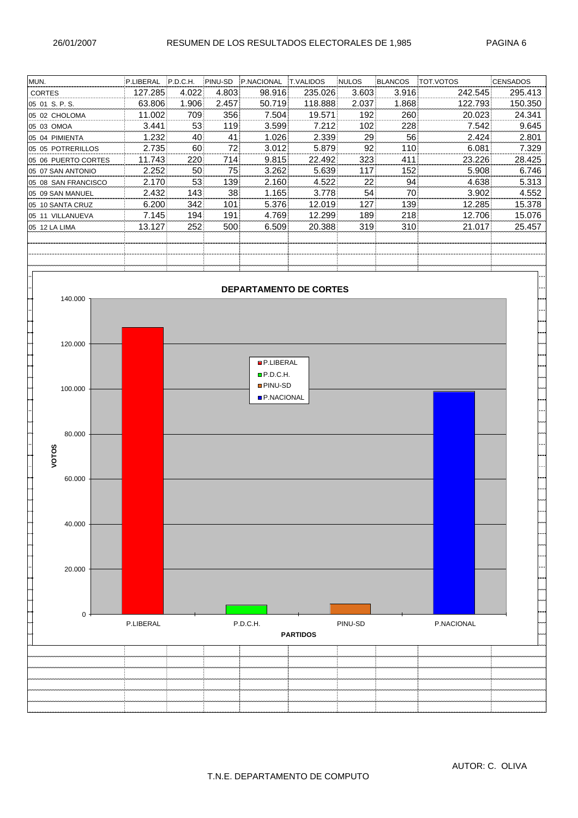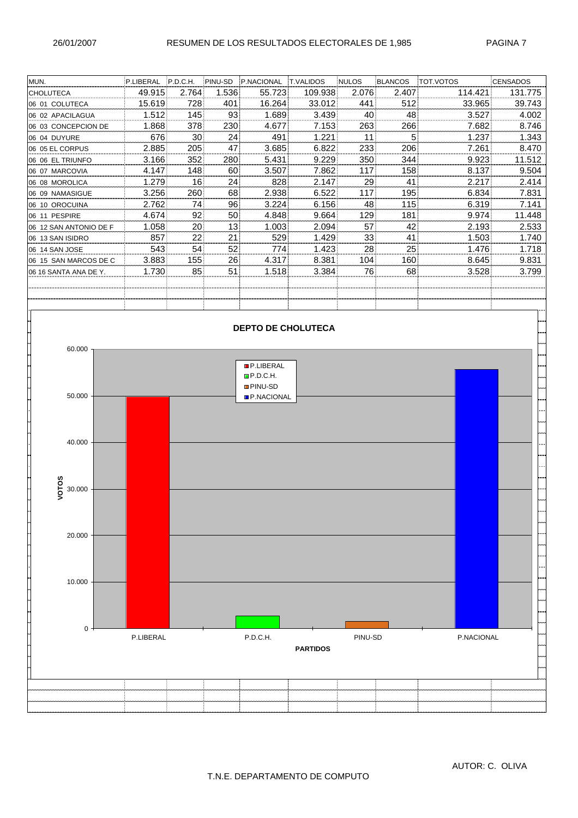| MUN.                   | P.LIBERAL | P.D.C.H. | PINU-SD | P.NACIONAL | <b>IT.VALIDOS</b> | NULOS | BLANCOS | <b>TOT VOTOS</b> | <b>CENSADOS</b> |
|------------------------|-----------|----------|---------|------------|-------------------|-------|---------|------------------|-----------------|
| <b>CHOLUTECA</b>       | 49.915    | 2.764    | 1.536   | 55.723     | 109.938           | 2.076 | 2.407   | 114.421          | 131.775         |
| 06 01 COLUTECA         | 15.619    | 728      | 401     | 16.264     | 33.012            | 441   | 512     | 33.965           | 39.743          |
| 06 02 APACILAGUA       | 1.512     | 145      | 93      | 1.689      | 3.439             | 40    | 48      | 3.527            | 4.002           |
| 06 03 CONCEPCION DE    | 1.868     | 378      | 230     | 4.677      | 7.153             | 263   | 266     | 7.682            | 8.746           |
| 06 04 DUYURE           | 676       | 30       | 24      | 491        | 1.221             | 11    | 5       | 1.237            | 1.343           |
| 06 05 EL CORPUS        | 2.885     | 205      | 47      | 3.685      | 6.822             | 233   | 206     | 7.261            | 8.470           |
| 06 06 EL TRIUNFO       | 3.166     | 352      | 280     | 5.431      | 9.229             | 350   | 344     | 9.923            | 11.512          |
| 06 07 MARCOVIA         | 4.147     | 148      | 60      | 3.507      | 7.862             | 117   | 158     | 8.137            | 9.504           |
| 06 08 MOROLICA         | 1.279     | 16       | 24      | 828        | 2.147             | 29    | 41      | 2.217            | 2.414           |
| 06 09 NAMASIGUE        | 3.256     | 260      | 68      | 2.938      | 6.522             | 117   | 195     | 6.834            | 7.831           |
| 06 10 OROCUINA         | 2.762     | 741      | 96      | 3.224      | 6.156             | 48    | 115     | 6.319            | 7.141           |
| 06 11 PESPIRE          | 4.674     | 92       | 50      | 4.848      | 9.664             | 129   | 181     | 9.974            | 11.448          |
| 06 12 SAN ANTONIO DE F | 1.058     | 20       | 13      | 1.003      | 2.094             | 57    | 42      | 2.193            | 2.533           |
| 06 13 SAN ISIDRO       | 857       | 22       | 21      | 529        | 1.429             | 33    | 41      | 1.503            | 1.740           |
| 06 14 SAN JOSE         | 543       | 54       | 52      | 774        | 1.423             | 28    | 25      | 1.476            | 1.718           |
| 06 15 SAN MARCOS DE C  | 3.883     | 155      | 26      | 4.317      | 8.381             | 104   | 160     | 8.645            | 9.831           |
| 106 16 SANTA ANA DE Y. | 1.730     | 85       | 51      | 1.518      | 3.384             | 76    | 68      | 3.528            | 3.799           |
|                        |           |          |         |            |                   |       |         |                  |                 |
|                        |           |          |         |            |                   |       |         |                  |                 |
|                        |           |          |         |            |                   |       |         |                  |                 |

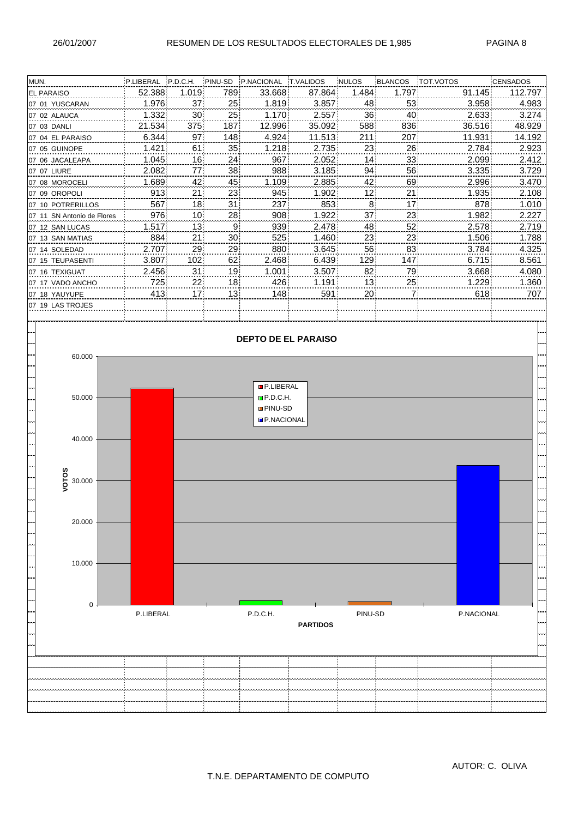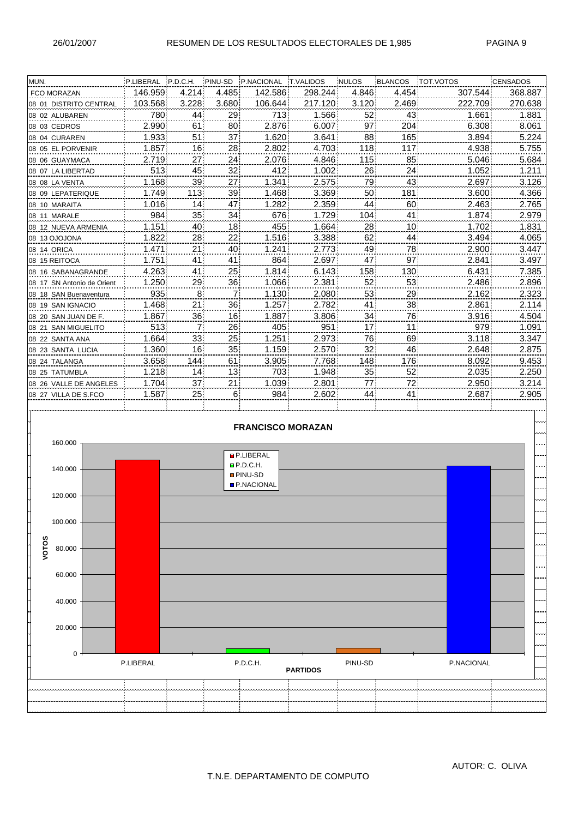| MUN.                       | P.LIBERAL P.D.C.H. |                | PINU-SD        | P.NACIONAL T.VALIDOS     |         | <b>NULOS</b> | <b>BLANCOS</b> | <b>TOT.VOTOS</b> | <b>CENSADOS</b> |
|----------------------------|--------------------|----------------|----------------|--------------------------|---------|--------------|----------------|------------------|-----------------|
| FCO MORAZAN                | 146.959            | 4.214          | 4.485          | 142.586                  | 298.244 | 4.846        | 4.454          | 307.544          | 368.887         |
| 08 01 DISTRITO CENTRAL     | 103.568            | 3.228          | 3.680          | 106.644                  | 217.120 | 3.120        | 2.469          | 222.709          | 270.638         |
| 08 02 ALUBAREN             | 7801               | 44             | 29             | 713                      | 1.566   | 52           | 43             | 1.661            | 1.881           |
| 08 03 CEDROS               | 2.990              | 61             | 80             | 2.876                    | 6.007   | 97           | 204            | 6.308            | 8.061           |
| 08 04 CURAREN              | 1.933              | 51             | 37             | 1.620                    | 3.641   | 88           | 165            | 3.894            | 5.224           |
| 08 05 EL PORVENIR          | 1.857              | 16             | 28             | 2.802                    | 4.703   | 118          | 117            | 4.938            | 5.755           |
| 08 06 GUAYMACA             | 2.719              | 27             | 24             | 2.076                    | 4.846   | 115          | 85             | 5.046            | 5.684           |
| 08 07 LA LIBERTAD          | 513                | 45             | 32             | 412                      | 1.002   | 26           | 24             | 1.052            | 1.211           |
| 08 08 LA VENTA             | 1.168              | 39             | 27             | 1.341                    | 2.575   | 79           | 43             | 2.697            | 3.126           |
| 08 09 LEPATERIQUE          | 1.749              | 113            | 39             | 1.468                    | 3.369   | 50           | 181            | 3.600            | 4.366           |
| 08 10 MARAITA              | 1.016              | 14             | 47             | 1.282                    | 2.359   | 44           | 60             | 2.463            | 2.765           |
| 08 11 MARALE               | 984                | 35             | 34             | 676                      | 1.729   | 104          | 41             | 1.874            | 2.979           |
| 08 12 NUEVA ARMENIA        | 1.151              | 40             | 18             | 455                      | 1.664   | 28           | 10             | 1.702            | 1.831           |
| 08 13 OJOJONA              | 1.822              | 28             | 22             | 1.516                    | 3.388   | 62           | 44             | 3.494            | 4.065           |
| 08 14 ORICA                | 1.471              | 21             | 40             | 1.241                    | 2.773   | 49           | 78             | 2.900            | 3.447           |
| 08 15 REITOCA              | 1.751              | 41             | 41             | 864                      | 2.697   | 47           | 97             | 2.841            | 3.497           |
| 08 16 SABANAGRANDE         | 4.263              | 41             | 25             | 1.814                    | 6.143   | 158          | 130            | 6.431            | 7.385           |
| 08 17 SN Antonio de Orient | 1.250              | 29             | 36             | 1.066                    | 2.381   | 52           | 53             | 2.486            | 2.896           |
| 08 18 SAN Buenaventura     | 935                | 8              | $\overline{7}$ | 1.130                    | 2.080   | 53           | 29             | 2.162            | 2.323           |
| 08 19 SAN IGNACIO          | 1.468              | 21             | 36             | 1.257                    | 2.782   | 41           | 38             | 2.861            | 2.114           |
| 08 20 SAN JUAN DE F.       | 1.867              | 36.            | 16             | 1.887                    | 3.806   | 34           | 76             | 3.916            | 4.504           |
| 08 21 SAN MIGUELITO        | 513                | $\overline{7}$ | 26             | 405                      | 951     | 17           | 11             | 979              | 1.091           |
| 08 22 SANTA ANA            | 1.664              | 33             | 25             | 1.251                    | 2.973   | 76           | 69             | 3.118            | 3.347           |
| 08 23 SANTA LUCIA          | 1.360              | 16             | 35             | 1.159                    | 2.570   | 32           | 46             | 2.648            | 2.875           |
| 08 24 TALANGA              | 3.658              | 144            | 61             | 3.905                    | 7.768   | 148          | 176            | 8.092            | 9.453           |
| 08 25 TATUMBLA             | 1.218              | 14             | 13             | 703                      | 1.948   | 35           | 52             | 2.035            | 2.250           |
| 08 26 VALLE DE ANGELES     | 1.704              | 37             | 21             | 1.039                    | 2.801   | 77           | 72             | 2.950            | 3.214           |
| 08 27 VILLA DE S.FCO       | 1.587              | 25             | 6              | 984                      | 2.602   | 44           | 41             | 2.687            | 2.905           |
|                            |                    |                |                |                          |         |              |                |                  |                 |
|                            |                    |                |                |                          |         |              |                |                  |                 |
|                            |                    |                |                | <b>FRANCISCO MORAZAN</b> |         |              |                |                  |                 |
| 160.000                    |                    |                |                |                          |         |              |                |                  |                 |
|                            |                    |                |                | <b>P.LIBERAL</b>         |         |              |                |                  |                 |
| 140.000                    |                    |                |                | P.D.C.H.                 |         |              |                |                  |                 |
|                            |                    |                |                | <b>PINU-SD</b>           |         |              |                |                  |                 |
|                            |                    |                |                | <b>P.NACIONAL</b>        |         |              |                |                  |                 |
| 120.000                    |                    |                |                |                          |         |              |                |                  |                 |
|                            |                    |                |                |                          |         |              |                |                  |                 |
| 100.000                    |                    |                |                |                          |         |              |                |                  |                 |
|                            |                    |                |                |                          |         |              |                |                  |                 |

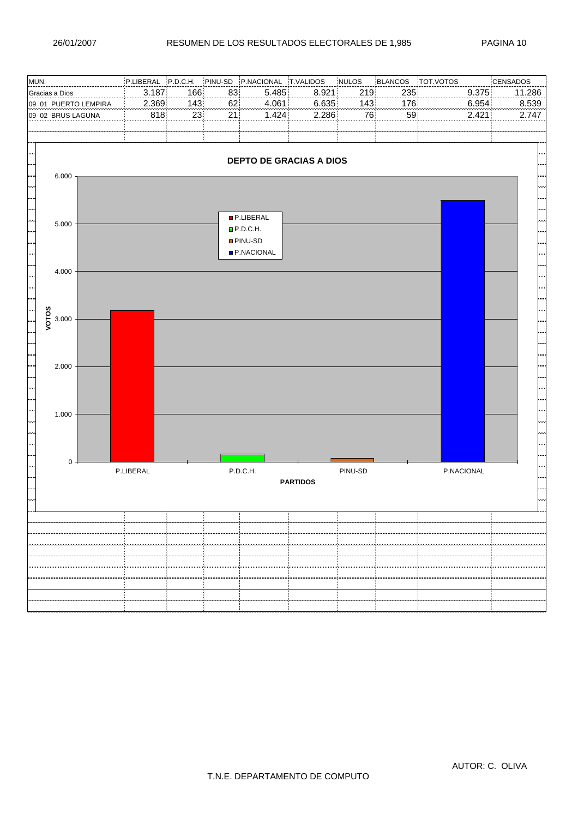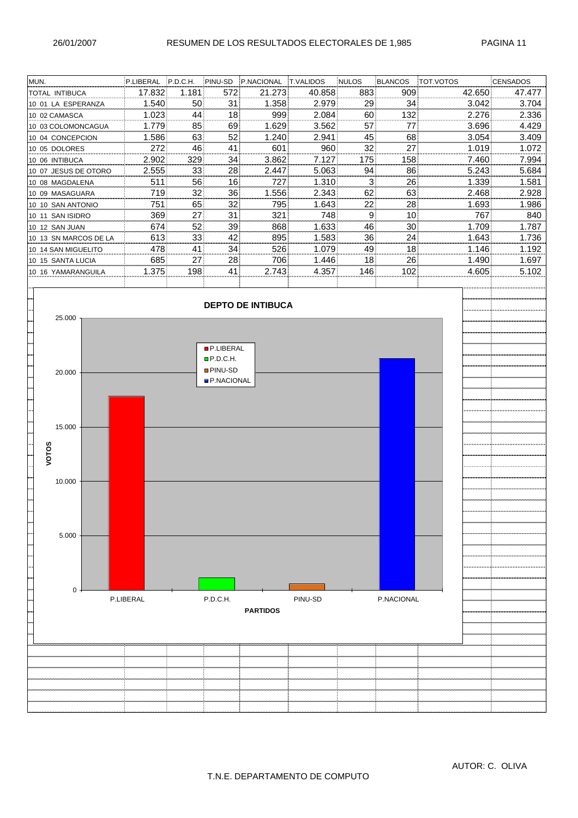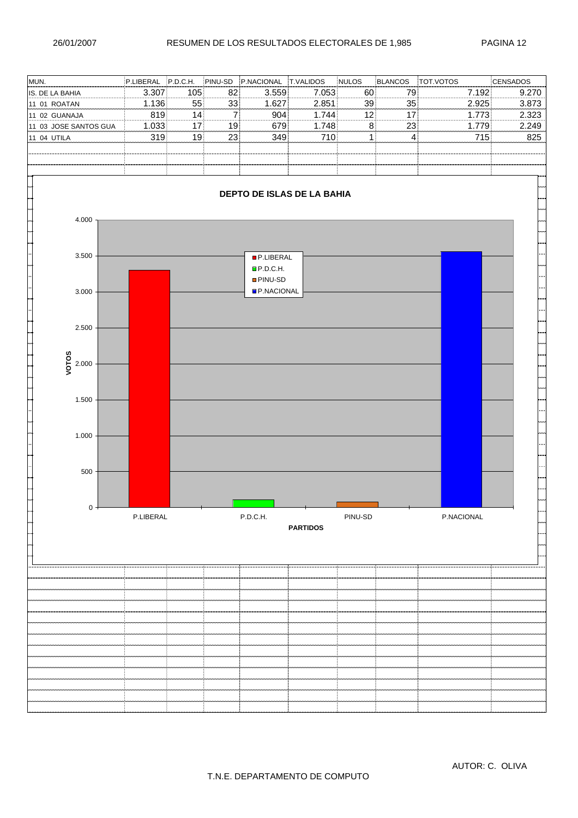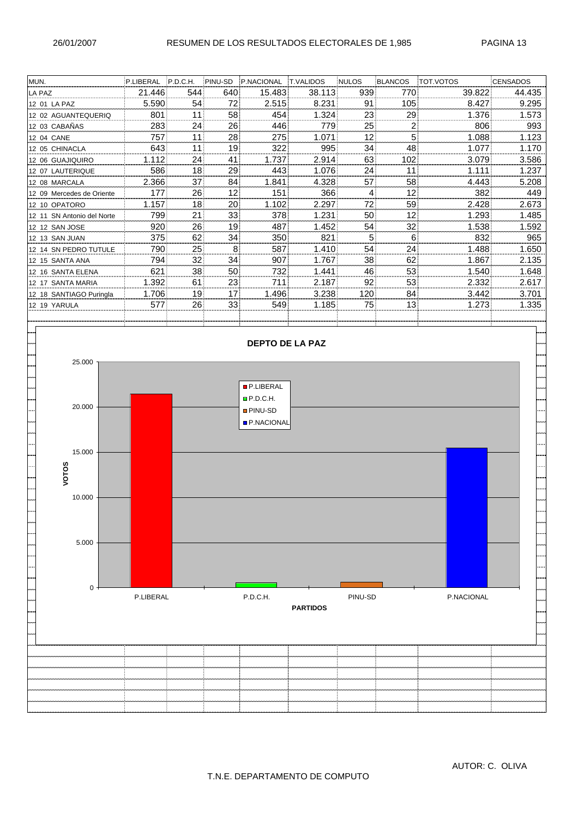| MUN.                       | P.LIBERAL | P.D.C.H. | PINU-SD  | P.NACIONAL             | <b>T.VALIDOS</b> | <b>NULOS</b> | BLANCOS | TOT.VOTOS  | <b>CENSADOS</b> |
|----------------------------|-----------|----------|----------|------------------------|------------------|--------------|---------|------------|-----------------|
| LA PAZ                     | 21.446    | 544      | 640      | 15.483                 | 38.113           | 939          | 770     | 39.822     | 44.435          |
| 12 01 LA PAZ               | 5.590     | 54       | 72       | 2.515                  | 8.231            | 91           | 105     | 8.427      | 9.295           |
| 12 02 AGUANTEQUERIQ        | 801       | 11       | 58       | 454                    | 1.324            | 23           | 29      | 1.376      | 1.573           |
| 12 03 CABAÑAS              | 283       | 24       | 26       | 446                    | 779              | 25           | 2       | 806        | 993             |
| 12 04 CANE                 | 757       | 11       | 28       | 275                    | 1.071            | 12           | 5       | 1.088      | 1.123           |
| 12 05 CHINACLA             | 643       | 11       | 19       | 322                    | 995              | 34           | 48      | 1.077      | 1.170           |
| 12 06 GUAJIQUIRO           | 1.112     | 24       | 41       | 1.737                  | 2.914            | 63           | 102     | 3.079      | 3.586           |
| 12 07 LAUTERIQUE           | 586       | 18       | 29       | 443                    | 1.076            | 24           | 11      | 1.111      | 1.237           |
| 12 08 MARCALA              | 2.366     | 37       | 84       | 1.841                  | 4.328            | 57           | 58      | 4.443      | 5.208           |
| 12 09 Mercedes de Oriente  | 177       | 26       | 12       | 151                    | 366              | 4            | 12      | 382        | 449             |
| 12 10 OPATORO              | 1.157     | 18       | 20       | 1.102                  | 2.297            | 72           | 59      | 2.428      | 2.673           |
| 12 11 SN Antonio del Norte | 799       | 21       | 33       | 378                    | 1.231            | 50           | 12      | 1.293      | 1.485           |
| 12 12 SAN JOSE             | 920       | 26       | 19       | 487                    | 1.452            | 54           | 32      | 1.538      | 1.592           |
| 12 13 SAN JUAN             | 375       | 62       | 34       | 350                    | 821              | 5            | $\,6\,$ | 832        | 965             |
| 12 14 SN PEDRO TUTULE      | 790       | 25       | $\bf{8}$ | 587                    | 1.410            | 54           | 24      | 1.488      | 1.650           |
| 12 15 SANTA ANA            | 794       | 32       | 34       | 907                    | 1.767            | 38           | 62      | 1.867      | 2.135           |
| 12 16 SANTA ELENA          | 621       | 38       | 50       | 732                    | 1.441            | 46           | 53      | 1.540      | 1.648           |
| 12 17 SANTA MARIA          | 1.392     | 61       | 23       | 711                    | 2.187            | 92           | 53      | 2.332      | 2.617           |
| 12 18 SANTIAGO Puringla    | 1.706     | 19       | 17       | 1.496                  | 3.238            | 120          | 84      | 3.442      | 3.701           |
| 12 19 YARULA               | 577       | 26       | 33       | 549                    | 1.185            | 75           | 13      | 1.273      | 1.335           |
|                            |           |          |          |                        |                  |              |         |            |                 |
|                            |           |          |          |                        |                  |              |         |            |                 |
|                            |           |          |          |                        |                  |              |         |            |                 |
|                            |           |          |          | <b>DEPTO DE LA PAZ</b> |                  |              |         |            |                 |
| 25.000                     |           |          |          |                        |                  |              |         |            |                 |
|                            |           |          |          |                        |                  |              |         |            |                 |
|                            |           |          |          |                        |                  |              |         |            |                 |
|                            |           |          |          | <b>P.LIBERAL</b>       |                  |              |         |            |                 |
| 20.000                     |           |          |          | P.D.C.H.               |                  |              |         |            |                 |
|                            |           |          |          | <b>PINU-SD</b>         |                  |              |         |            |                 |
|                            |           |          |          | <b>P.NACIONAL</b>      |                  |              |         |            |                 |
|                            |           |          |          |                        |                  |              |         |            |                 |
| 15.000                     |           |          |          |                        |                  |              |         |            |                 |
|                            |           |          |          |                        |                  |              |         |            |                 |
| VOTOS                      |           |          |          |                        |                  |              |         |            |                 |
|                            |           |          |          |                        |                  |              |         |            |                 |
| 10.000                     |           |          |          |                        |                  |              |         |            |                 |
|                            |           |          |          |                        |                  |              |         |            |                 |
|                            |           |          |          |                        |                  |              |         |            |                 |
|                            |           |          |          |                        |                  |              |         |            |                 |
| 5.000                      |           |          |          |                        |                  |              |         |            |                 |
|                            |           |          |          |                        |                  |              |         |            |                 |
|                            |           |          |          |                        |                  |              |         |            |                 |
|                            |           |          |          |                        |                  |              |         |            |                 |
| $\mathbf 0$                |           |          |          |                        |                  |              |         |            |                 |
|                            | P.LIBERAL |          |          | P.D.C.H.               |                  | PINU-SD      |         | P.NACIONAL |                 |
|                            |           |          |          |                        | <b>PARTIDOS</b>  |              |         |            |                 |
|                            |           |          |          |                        |                  |              |         |            |                 |
|                            |           |          |          |                        |                  |              |         |            |                 |
|                            |           |          |          |                        |                  |              |         |            |                 |
|                            |           |          |          |                        |                  |              |         |            |                 |
|                            |           |          |          |                        |                  |              |         |            |                 |
|                            |           |          |          |                        |                  |              |         |            |                 |
|                            |           |          |          |                        |                  |              |         |            |                 |
|                            |           |          |          |                        |                  |              |         |            |                 |
|                            |           |          |          |                        |                  |              |         |            |                 |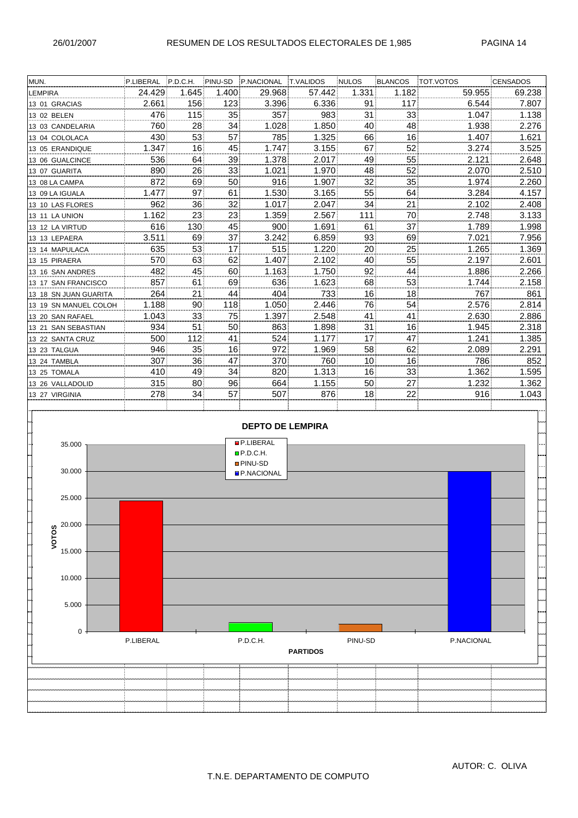| MUN.                  | P.LIBERAL | P.D.C.H. | PINU-SD | P.NACIONAL              | <b>T.VALIDOS</b> | <b>NULOS</b> | BLANCOS | TOT.VOTOS  | <b>CENSADOS</b> |
|-----------------------|-----------|----------|---------|-------------------------|------------------|--------------|---------|------------|-----------------|
| <b>LEMPIRA</b>        | 24.429    | 1.645    | 1.400   | 29.968                  | 57.442           | 1.331        | 1.182   | 59.955     | 69.238          |
| 13 01 GRACIAS         | 2.661     | 156      | 123     | 3.396                   | 6.336            | 91           | 117     | 6.544      | 7.807           |
| 13 02 BELEN           | 476       | 115      | 35      | 357                     | 983              | 31           | 33      | 1.047      | 1.138           |
| 13 03 CANDELARIA      | 760       | 28       | 34      | 1.028                   | 1.850            | 40           | 48      | 1.938      | 2.276           |
| 13 04 COLOLACA        | 430       | 53       | 57      | 785                     | 1.325            | 66           | 16      | 1.407      | 1.621           |
| 13 05 ERANDIQUE       | 1.347     | 16       | 45      | 1.747                   | 3.155            | 67           | 52      | 3.274      | 3.525           |
| 13 06 GUALCINCE       | 536       | 64       | 39      | 1.378                   | 2.017            | 49           | 55      | 2.121      | 2.648           |
| 13 07 GUARITA         | 890       | 26       | 33      | 1.021                   | 1.970            | 48           | 52      | 2.070      | 2.510           |
| 13 08 LA CAMPA        | 872       | 69       | 50      | 916                     | 1.907            | 32           | 35      | 1.974      | 2.260           |
| 13 09 LA IGUALA       | 1.477     | 97       | 61      | 1.530                   | 3.165            | 55           | 64      | 3.284      | 4.157           |
| 13 10 LAS FLORES      | 962       | 36       | 32      | 1.017                   | 2.047            | 34           | 21      | 2.102      | 2.408           |
| 13 11 LA UNION        | 1.162     | 23       | 23      | 1.359                   | 2.567            | 111          | 70      | 2.748      | 3.133           |
| 13 12 LA VIRTUD       | 616       | 130      | 45      | 900                     | 1.691            | 61           | 37      | 1.789      | 1.998           |
| 13 13 LEPAERA         | 3.511     | 69       | 37      | 3.242                   | 6.859            | 93           | 69      | 7.021      | 7.956           |
| 13 14 MAPULACA        | 635       | 53       | 17      | 515                     | 1.220            | 20           | 25      | 1.265      | 1.369           |
| 13 15 PIRAERA         | 570       | 63       | 62      | 1.407                   | 2.102            | 40           | 55      | 2.197      | 2.601           |
| 13 16 SAN ANDRES      | 482       | 45       | 60      | 1.163                   | 1.750            | 92           | 44      | 1.886      | 2.266           |
| 13 17 SAN FRANCISCO   | 857       | 61       | 69      | 636                     | 1.623            | 68           | 53      | 1.744      | 2.158           |
| 13 18 SN JUAN GUARITA | 264       | 21       | 44      | 404                     | 733              | 16           | 18      | 767        | 861             |
| 13 19 SN MANUEL COLOH | 1.188     | 90       | 118     | 1.050                   | 2.446            | 76           | 54      | 2.576      | 2.814           |
| 13 20 SAN RAFAEL      | 1.043     | 33       | 75      | 1.397                   | 2.548            | 41           | 41      | 2.630      | 2.886           |
| 13 21 SAN SEBASTIAN   | 934       | 51       | 50      | 863                     | 1.898            | 31           | 16      | 1.945      | 2.318           |
| 13 22 SANTA CRUZ      | 500       | 112      | 41      | 524                     | 1.177            | 17           | 47      | 1.241      | 1.385           |
| 13 23 TALGUA          | 946       | 35       | 16      | 972                     | 1.969            | 58           | 62      | 2.089      | 2.291           |
| 13 24 TAMBLA          | 307       | 36       | 47      | 370                     | 760              | 10           | 16      | 786        | 852             |
| 13 25 TOMALA          | 410       | 49       | 34      | 820                     | 1.313            | 16           | 33      | 1.362      | 1.595           |
| 13 26 VALLADOLID      | 315       | 80       | 96      | 664                     | 1.155            | 50           | 27      | 1.232      | 1.362           |
| 13 27 VIRGINIA        | 278       | 34       | 57      | 507                     | 876              | 18           | 22      | 916        | 1.043           |
|                       |           |          |         |                         |                  |              |         |            |                 |
|                       |           |          |         | <b>DEPTO DE LEMPIRA</b> |                  |              |         |            |                 |
|                       |           |          |         |                         |                  |              |         |            |                 |
| 35.000                |           |          |         | P.LIBERAL               |                  |              |         |            |                 |
|                       |           |          |         | P.D.C.H.                |                  |              |         |            |                 |
| 30.000                |           |          |         | <b>PINU-SD</b>          |                  |              |         |            |                 |
|                       |           |          |         | <b>P.NACIONAL</b>       |                  |              |         |            |                 |
|                       |           |          |         |                         |                  |              |         |            |                 |
| 25.000                |           |          |         |                         |                  |              |         |            |                 |
|                       |           |          |         |                         |                  |              |         |            |                 |
| 20.000                |           |          |         |                         |                  |              |         |            |                 |
| VOTOS                 |           |          |         |                         |                  |              |         |            |                 |
| 15.000                |           |          |         |                         |                  |              |         |            |                 |
|                       |           |          |         |                         |                  |              |         |            |                 |
|                       |           |          |         |                         |                  |              |         |            |                 |
| 10.000                |           |          |         |                         |                  |              |         |            |                 |
|                       |           |          |         |                         |                  |              |         |            |                 |
| 5.000                 |           |          |         |                         |                  |              |         |            |                 |
|                       |           |          |         |                         |                  |              |         |            |                 |
|                       |           |          |         |                         |                  |              |         |            |                 |
| 0                     | P.LIBERAL |          |         | P.D.C.H.                |                  | PINU-SD      |         | P.NACIONAL |                 |
|                       |           |          |         |                         | <b>PARTIDOS</b>  |              |         |            |                 |
|                       |           |          |         |                         |                  |              |         |            |                 |
|                       |           |          |         |                         |                  |              |         |            |                 |
|                       |           |          |         |                         |                  |              |         |            |                 |
|                       |           |          |         |                         |                  |              |         |            |                 |
|                       |           |          |         |                         |                  |              |         |            |                 |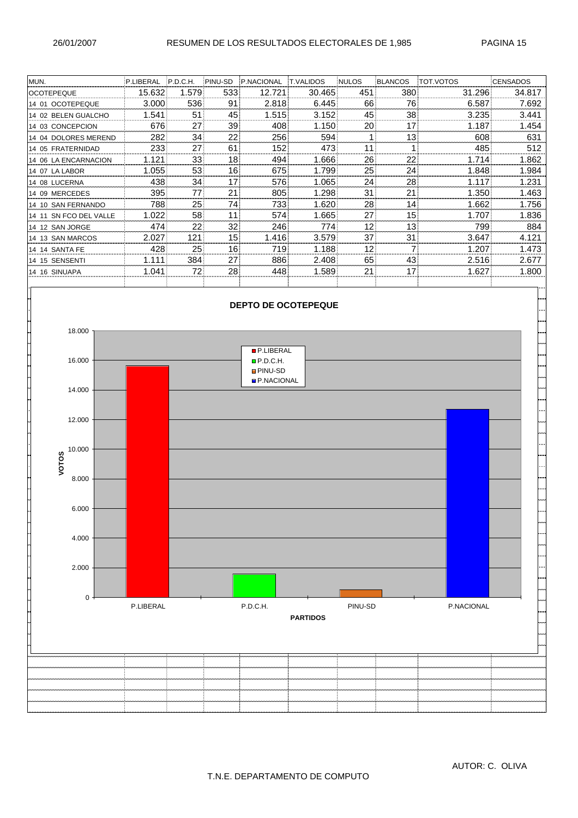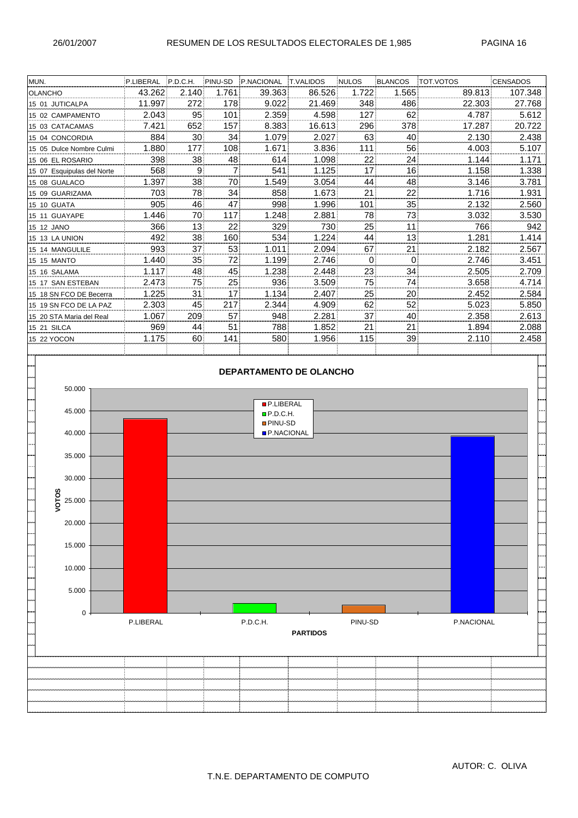$0 -$ 

5.000

10.000

15.000

20.000

25.000

**VOTOS**

30.000

35.000

| MUN.                       | P.LIBERAL P.D.C.H. |       | PINU-SD | P.NACIONAL                     | <b>T.VALIDOS</b> | <b>NULOS</b> | BLANCOS | <b>TOT.VOTOS</b> | <b>CENSADOS</b> |
|----------------------------|--------------------|-------|---------|--------------------------------|------------------|--------------|---------|------------------|-----------------|
| <b>OLANCHO</b>             | 43.262             | 2.140 | 1.761   | 39.363                         | 86.526           | 1.722        | 1.565   | 89.813           | 107.348         |
| 15 01 JUTICALPA            | 11.997             | 272   | 178     | 9.022                          | 21.469           | 348          | 486     | 22.303           | 27.768          |
| 15 02 CAMPAMENTO           | 2.043              | 95    | 101     | 2.359                          | 4.598            | 127          | 62      | 4.787            | 5.612           |
| 15 03 CATACAMAS            | 7.421              | 652   | 157     | 8.383                          | 16.613           | 296          | 378     | 17.287           | 20.722          |
| 15 04 CONCORDIA            | 884                | 30    | 34      | 1.079                          | 2.027            | 63           | 40      | 2.130            | 2.438           |
| 15 05 Dulce Nombre Culmi   | 1.880              | 177   | 108     | 1.671                          | 3.836            | 111          | 56      | 4.003            | 5.107           |
| 15 06 EL ROSARIO           | 398                | 38    | 48      | 614                            | 1.098            | 22           | 24      | 1.144            | 1.171           |
| 15 07 Esquipulas del Norte | 568                | 9     | 7       | 541                            | 1.125            | 17           | 16      | 1.158            | 1.338           |
| 15 08 GUALACO              | 1.397              | 38    | 70      | 1.549                          | 3.054            | 44           | 48      | 3.146            | 3.781           |
| 15 09 GUARIZAMA            | 703                | 78    | 34      | 858                            | 1.673            | 21           | 22      | 1.716            | 1.931           |
| 15 10 GUATA                | 905                | 46    | 47      | 998                            | 1.996            | 101          | 35      | 2.132            | 2.560           |
| 15 11 GUAYAPE              | 1.446              | 70    | 117     | 1.248                          | 2.881            | 78           | 73      | 3.032            | 3.530           |
| 15 12 JANO                 | 366                | 13    | 22      | 329                            | 730              | 25           | 11      | 766              | 942             |
| 15 13 LA UNION             | 492                | 38    | 160     | 534                            | 1.224            | 44           | 13      | 1.281            | 1.414           |
| 15 14 MANGULILE            | 993                | 37    | 53      | 1.011                          | 2.094            | 67           | 21      | 2.182            | 2.567           |
| <b>15 15 MANTO</b>         | 1.440              | 35    | 72      | 1.199                          | 2.746            | 0            | 0       | 2.746            | 3.451           |
| 15 16 SALAMA               | 1.117              | 48    | 45      | 1.238                          | 2.448            | 23           | 34      | 2.505            | 2.709           |
| 15 17 SAN ESTEBAN          | 2.473              | 75    | 25      | 936                            | 3.509            | 75           | 74      | 3.658            | 4.714           |
| 15 18 SN FCO DE Becerra    | 1.225              | 31    | 17      | 1.134                          | 2.407            | 25           | 20      | 2.452            | 2.584           |
| 15 19 SN FCO DE LA PAZ     | 2.303              | 45    | 217     | 2.344                          | 4.909            | 62           | 52      | 5.023            | 5.850           |
| 15 20 STA Maria del Real   | 1.067              | 209   | 57      | 948                            | 2.281            | 37           | 40      | 2.358            | 2.613           |
| <b>15 21 SILCA</b>         | 969                | 44    | 51      | 788                            | 1.852            | 21           | 21      | 1.894            | 2.088           |
| 15 22 YOCON                | 1.175              | 60    | 141     | 580                            | 1.956            | 115          | 39      | 2.110            | 2.458           |
|                            |                    |       |         |                                |                  |              |         |                  |                 |
|                            |                    |       |         |                                |                  |              |         |                  |                 |
|                            |                    |       |         | <b>DEPARTAMENTO DE OLANCHO</b> |                  |              |         |                  |                 |
| 50.000                     |                    |       |         |                                |                  |              |         |                  |                 |
|                            |                    |       |         |                                |                  |              |         |                  |                 |
| 45.000                     |                    |       |         | P.LIBERAL                      |                  |              |         |                  |                 |
|                            |                    |       |         | P.D.C.H.<br><b>PINU-SD</b>     |                  |              |         |                  |                 |
| 40.000                     |                    |       |         | P.NACIONAL                     |                  |              |         |                  |                 |
|                            |                    |       |         |                                |                  |              |         |                  |                 |

P.LIBERAL P.D.C.H. PINU-SD P.NACIONAL **PARTIDOS**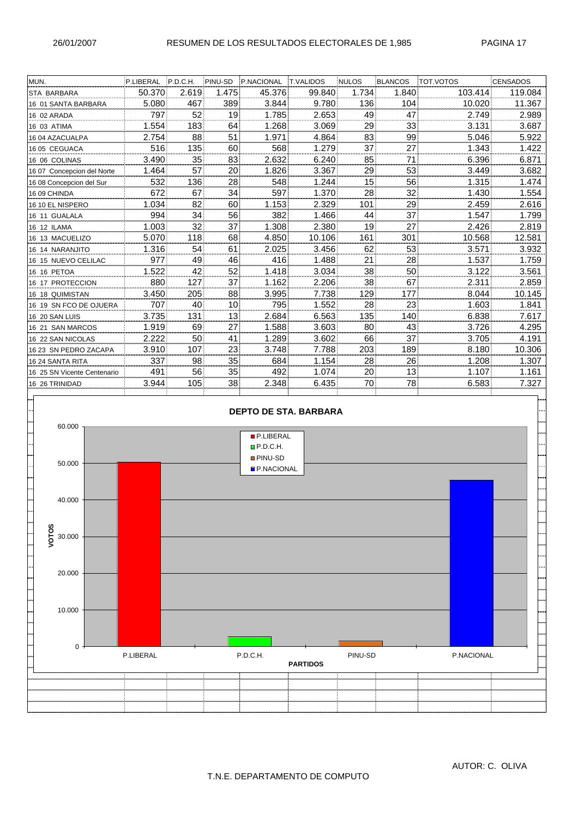| 50.370 |       |                |        |        |       |                                             |         |                         |
|--------|-------|----------------|--------|--------|-------|---------------------------------------------|---------|-------------------------|
|        | 2.619 | 1.475          | 45.376 | 99.840 | 1.734 | 1.840                                       | 103.414 | 119.084                 |
|        | 467   | 389            | 3.844  | 9.780  | 136   | 104                                         | 10.020  | 11.367                  |
| 797    | 52    | 19             | 1.785  | 2.653  | 49    | 47                                          | 2.749   | 2.989                   |
| 1.554  | 183   | 64             | 1.268  | 3.069  | 29    | 33                                          | 3.131   | 3.687                   |
| 2.754  | 88    | 51             | 1.971  | 4.864  | 83    | 99                                          | 5.046   | 5.922                   |
| 516    | 135   | 60             | 568    | 1.279  | 37    | 27                                          | 1.343   | 1.422                   |
| 3.490  | 35    | 83             | 2.632  | 6.240  | 85    | 71                                          | 6.396   | 6.871                   |
| 1.464  | 57    | 20             | 1.826  | 3.367  | 29    | 53                                          | 3.449   | 3.682                   |
| 532    | 136   | 28             | 548    | 1.244  | 15    | 56                                          | 1.315   | 1.474                   |
| 672    | 67    | 34             | 597    | 1.370  | 28    | 32                                          | 1.430   | 1.554                   |
| 1.034  | 82    | 60             | 1.153  | 2.329  | 101   | 29                                          | 2.459   | 2.616                   |
| 994    | 34    | 56             | 382    | 1.466  | 44    | 37                                          | 1.547   | 1.799                   |
|        | 32    | 37             | 1.308  |        | 19    | 27                                          |         | 2.819                   |
| 5.070  | 118   | 68             | 4.850  | 10.106 | 161   | 301                                         | 10.568  | 12.581                  |
| 1.316  | 54    | 61             | 2.025  | 3.456  | 62    | 53                                          | 3.571   | 3.932                   |
| 977    | 49    | 46             | 416    | 1.488  | 21    | 28                                          | 1.537   | 1.759                   |
| 1.522  | 42    | 52             | 1.418  | 3.034  | 38    | 50                                          | 3.122   | 3.561                   |
| 880    | 127   | 37             | 1.162  | 2.206  |       |                                             | 2.311   | 2.859                   |
| 3.450  | 205   | 88             | 3.995  | 7.738  | 129   | 177                                         | 8.044   | 10.145                  |
| 707    | 40    | 10             | 795    | 1.552  | 28    | 23                                          | 1.603   | 1.841                   |
| 3.735  | 131   | 13             | 2.684  | 6.563  | 135   | 140                                         | 6.838   | 7.617                   |
| 1.919  | 69    | 27             | 1.588  | 3.603  | 80    | 43                                          |         | 4.295                   |
| 2.222  | 50    | 41             | 1.289  | 3.602  | 66    | 37                                          | 3.705   | 4.191                   |
| 3.910  | 107   | 23             | 3.748  | 7.788  | 203   | 189                                         | 8.180   | 10.306                  |
| 337    | 98    | 35             | 684    | 1.154  | 28    | 26                                          | 1.208   | 1.307                   |
| 491    | 56    | 35             | 492    | 1.074  | 20    | 13                                          | 1.107   | 1.161                   |
| 3.944  | 105   | 38             | 2.348  | 6.435  | 70    | 78                                          |         | 7.327                   |
|        |       |                |        |        |       |                                             |         |                         |
|        |       |                |        |        |       |                                             |         |                         |
|        |       | 5.080<br>1.003 |        |        |       | 2.380<br>38<br><b>DEPTO DE STA. BARBARA</b> | 67      | 2.426<br>3.726<br>6.583 |

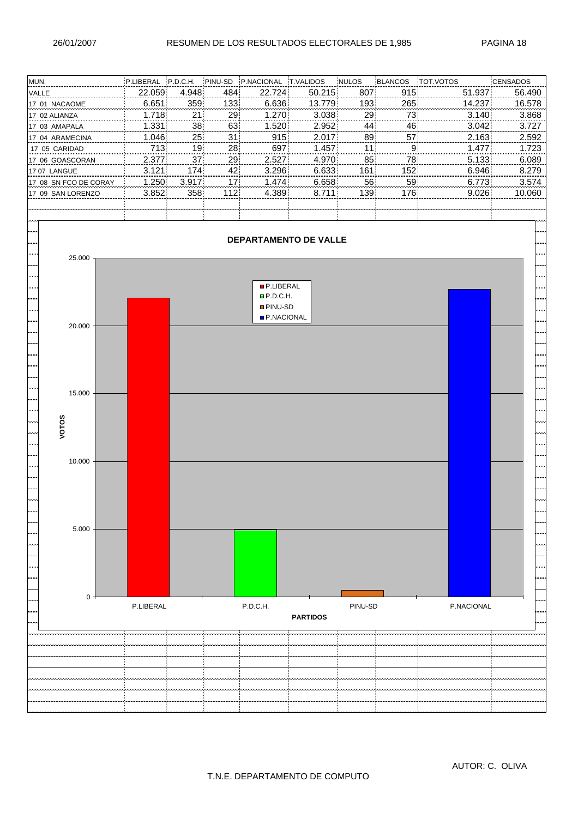